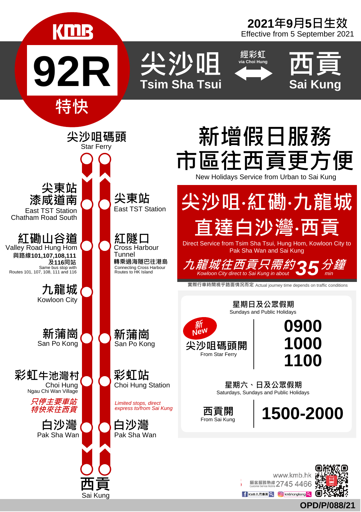

**OPD/P/088/21**